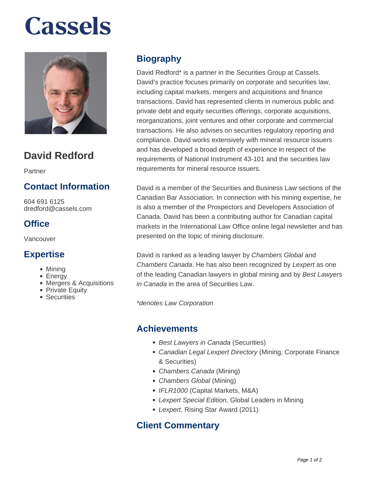# **Cassels**



# **David Redford**

Partner

# **Contact Information**

604 691 6125 dredford@cassels.com

### **Office**

Vancouver

#### **Expertise**

- Mining
- Energy
- Mergers & Acquisitions
- Private Equity
- Securities

### **Biography**

David Redford\* is a partner in the Securities Group at Cassels. David's practice focuses primarily on corporate and securities law, including capital markets, mergers and acquisitions and finance transactions. David has represented clients in numerous public and private debt and equity securities offerings, corporate acquisitions, reorganizations, joint ventures and other corporate and commercial transactions. He also advises on securities regulatory reporting and compliance. David works extensively with mineral resource issuers and has developed a broad depth of experience in respect of the requirements of National Instrument 43-101 and the securities law requirements for mineral resource issuers.

David is a member of the Securities and Business Law sections of the Canadian Bar Association. In connection with his mining expertise, he is also a member of the Prospectors and Developers Association of Canada. David has been a contributing author for Canadian capital markets in the International Law Office online legal newsletter and has presented on the topic of mining disclosure.

David is ranked as a leading lawyer by Chambers Global and Chambers Canada. He has also been recognized by Lexpert as one of the leading Canadian lawyers in global mining and by Best Lawyers in Canada in the area of Securities Law.

\*denotes Law Corporation

#### **Achievements**

- Best Lawyers in Canada (Securities)
- Canadian Legal Lexpert Directory (Mining, Corporate Finance & Securities)
- Chambers Canada (Mining)
- Chambers Global (Mining)
- IFLR1000 (Capital Markets, M&A)
- Lexpert Special Edition, Global Leaders in Mining
- Lexpert, Rising Star Award (2011)

#### **Client Commentary**